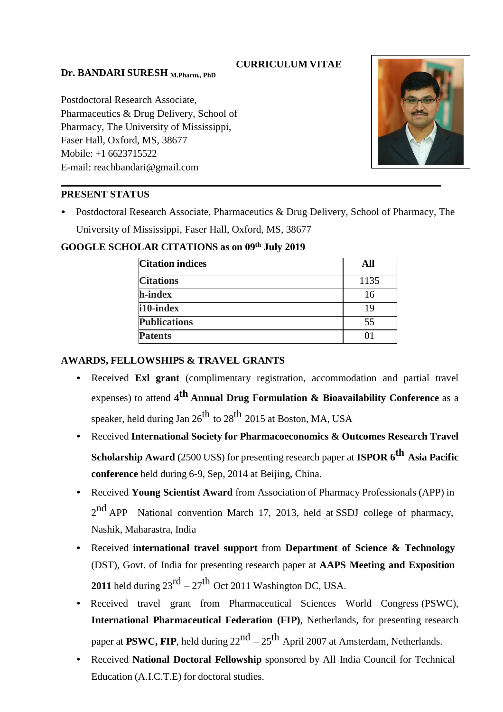## **CURRICULUM VITAE**

### **Dr. BANDARI SURESH M.Pharm., PhD**

Postdoctoral Research Associate, Pharmaceutics & Drug Delivery, School of Pharmacy, The University of Mississippi, Faser Hall, Oxford, MS, 38677 Mobile: +1 6623715522 E-mail: [reachbandari@gmail.com](mailto:reachbandari@gmail.com)



## **PRESENT STATUS**

• Postdoctoral Research Associate, Pharmaceutics & Drug Delivery, School of Pharmacy, The University of Mississippi, Faser Hall, Oxford, MS, 38677

| <b>Citation indices</b> | All  |
|-------------------------|------|
| <b>Citations</b>        | 1135 |
| h-index                 | 16   |
| i10-index               | 19   |
| <b>Publications</b>     | 55   |
| <b>Patents</b>          |      |

## **GOOGLE SCHOLAR CITATIONS as on 09th July 2019**

## **AWARDS, FELLOWSHIPS & TRAVEL GRANTS**

- Received **Exl grant** (complimentary registration, accommodation and partial travel expenses) to attend **4 th Annual Drug Formulation & Bioavailability Conference** as <sup>a</sup> speaker, held during Jan  $26^{\rm th}$  to  $28^{\rm th}$   $2015$  at Boston, MA, USA
- Received **International Society for Pharmacoeconomics & Outcomes Research Travel Scholarship Award** (2500 US\$) for presenting research paper at **ISPOR 6<sup>th</sup> Asia Pacific conference** held during 6-9, Sep, 2014 at Beijing, China.
- Received **Young Scientist Award** from Association of Pharmacy Professionals (APP) in 2<sup>nd</sup> APP National convention March 17, 2013, held at SSDJ college of pharmacy, Nashik, Maharastra, India
- Received **international travel support** from **Department of Science & Technology** (DST), Govt. of India for presenting research paper at **AAPS Meeting and Exposition 2011** held during  $23^{\text{rd}} - 27^{\text{th}}$  Oct 2011 Washington DC, USA.
- Received travel grant from Pharmaceutical Sciences World Congress (PSWC), **International Pharmaceutical Federation (FIP)**, Netherlands, for presenting research paper at PSWC, FIP, held during 22<sup>nd</sup> – 25<sup>th</sup> April 2007 at Amsterdam, Netherlands.
- Received **National Doctoral Fellowship** sponsored by All India Council for Technical Education (A.I.C.T.E) for doctoral studies.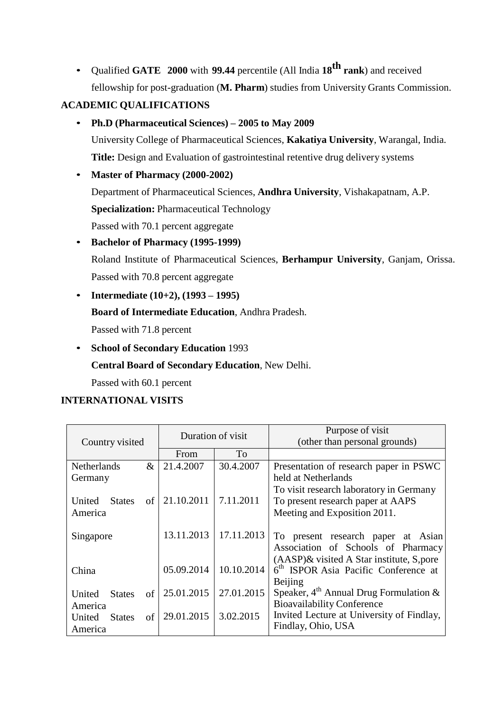• Qualified **GATE 2000** with **99.44** percentile (All India **18th rank**) and received fellowship for post-graduation (**M. Pharm**) studies from University Grants Commission.

# **ACADEMIC QUALIFICATIONS**

- **Ph.D (Pharmaceutical Sciences) – 2005 to May 2009** University College of Pharmaceutical Sciences, **Kakatiya University**, Warangal, India. **Title:** Design and Evaluation of gastrointestinal retentive drug delivery systems
- **Master of Pharmacy (2000-2002)** Department of Pharmaceutical Sciences, **Andhra University**, Vishakapatnam, A.P. **Specialization:** Pharmaceutical Technology Passed with 70.1 percent aggregate
- **Bachelor of Pharmacy (1995-1999)** Roland Institute of Pharmaceutical Sciences, **Berhampur University**, Ganjam, Orissa. Passed with 70.8 percent aggregate
- **Intermediate (10+2), (1993 – 1995)**
	- **Board of Intermediate Education**, Andhra Pradesh.

Passed with 71.8 percent

• **School of Secondary Education** 1993 **Central Board of Secondary Education**, New Delhi.

Passed with 60.1 percent

## **INTERNATIONAL VISITS**

|                               | Duration of visit |            | Purpose of visit                                 |  |
|-------------------------------|-------------------|------------|--------------------------------------------------|--|
| Country visited               |                   |            | (other than personal grounds)                    |  |
|                               | From              | To         |                                                  |  |
| $\&$<br><b>Netherlands</b>    | 21.4.2007         | 30.4.2007  | Presentation of research paper in PSWC           |  |
| Germany                       |                   |            | held at Netherlands                              |  |
|                               |                   |            | To visit research laboratory in Germany          |  |
| United<br>of<br><b>States</b> | 21.10.2011        | 7.11.2011  | To present research paper at AAPS                |  |
| America                       |                   |            | Meeting and Exposition 2011.                     |  |
|                               |                   |            |                                                  |  |
| Singapore                     | 13.11.2013        | 17.11.2013 | To present research paper at Asian               |  |
|                               |                   |            | Association of Schools of Pharmacy               |  |
|                               |                   |            | $(AASP)$ & visited A Star institute, S, pore     |  |
| China                         | 05.09.2014        | 10.10.2014 | 6 <sup>th</sup> ISPOR Asia Pacific Conference at |  |
|                               |                   |            | Beijing                                          |  |
| United<br><b>States</b><br>of | 25.01.2015        | 27.01.2015 | Speaker, $4^{th}$ Annual Drug Formulation &      |  |
| America                       |                   |            | <b>Bioavailability Conference</b>                |  |
| of<br>United<br><b>States</b> | 29.01.2015        | 3.02.2015  | Invited Lecture at University of Findlay,        |  |
| America                       |                   |            | Findlay, Ohio, USA                               |  |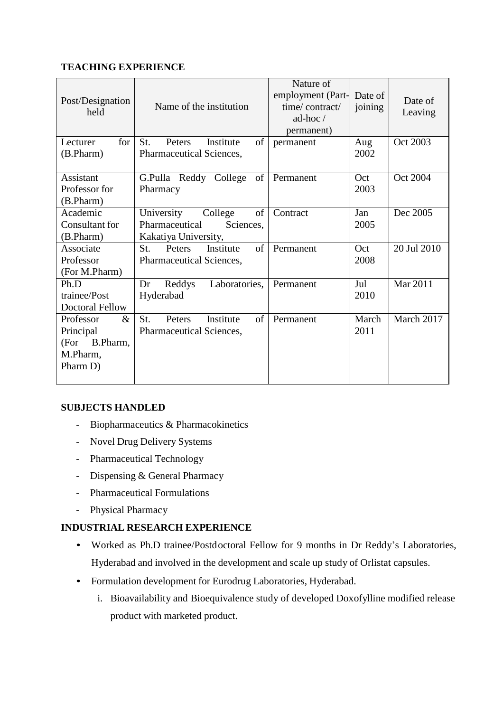## **TEACHING EXPERIENCE**

| Post/Designation<br>held                  | Name of the institution                                      | Nature of<br>employment (Part-<br>time/contract/<br>ad-hoc $\angle$<br>permanent) | Date of<br>joining | Date of<br>Leaving |
|-------------------------------------------|--------------------------------------------------------------|-----------------------------------------------------------------------------------|--------------------|--------------------|
| for <sub>1</sub><br>Lecturer<br>(B.Pharm) | of<br>St.<br>Institute<br>Peters<br>Pharmaceutical Sciences, | permanent                                                                         | Aug<br>2002        | Oct 2003           |
| Assistant                                 | G.Pulla Reddy College<br>of                                  | Permanent                                                                         | Oct                | Oct 2004           |
| Professor for                             | Pharmacy                                                     |                                                                                   | 2003               |                    |
| (B.Pharm)                                 |                                                              |                                                                                   |                    |                    |
| Academic<br>Consultant for                | of<br>University<br>College<br>Pharmaceutical<br>Sciences,   | Contract                                                                          | Jan<br>2005        | Dec 2005           |
| (B.Pharm)                                 | Kakatiya University,                                         |                                                                                   |                    |                    |
| Associate                                 | Institute<br>of<br>Peters<br>St.                             | Permanent                                                                         | Oct                | 20 Jul 2010        |
| Professor                                 | Pharmaceutical Sciences,                                     |                                                                                   | 2008               |                    |
| (For M.Pharm)                             |                                                              |                                                                                   |                    |                    |
| Ph.D                                      | Laboratories,<br>Dr<br>Reddys                                | Permanent                                                                         | Jul                | Mar 2011           |
| trainee/Post                              | Hyderabad                                                    |                                                                                   | 2010               |                    |
| <b>Doctoral Fellow</b>                    |                                                              |                                                                                   |                    |                    |
| $\&$<br>Professor                         | $\sigma$ f<br>St.<br>Institute<br>Peters                     | Permanent                                                                         | March              | March 2017         |
| Principal                                 | Pharmaceutical Sciences,                                     |                                                                                   | 2011               |                    |
| (For B.Pharm,                             |                                                              |                                                                                   |                    |                    |
| M.Pharm,                                  |                                                              |                                                                                   |                    |                    |
| Pharm D)                                  |                                                              |                                                                                   |                    |                    |
|                                           |                                                              |                                                                                   |                    |                    |

### **SUBJECTS HANDLED**

- Biopharmaceutics & Pharmacokinetics
- Novel Drug Delivery Systems
- Pharmaceutical Technology
- Dispensing & General Pharmacy
- Pharmaceutical Formulations
- Physical Pharmacy

### **INDUSTRIAL RESEARCH EXPERIENCE**

- Worked as Ph.D trainee/Postdoctoral Fellow for 9 months in Dr Reddy's Laboratories, Hyderabad and involved in the development and scale up study of Orlistat capsules.
- Formulation development for Eurodrug Laboratories, Hyderabad.
	- i. Bioavailability and Bioequivalence study of developed Doxofylline modified release product with marketed product.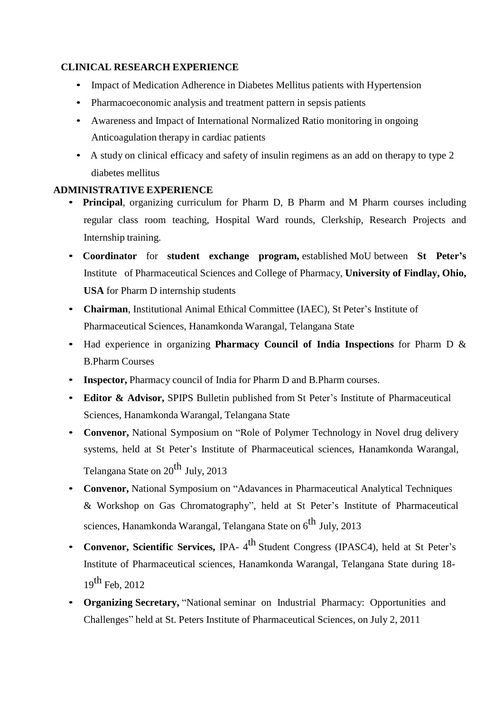## **CLINICAL RESEARCH EXPERIENCE**

- Impact of Medication Adherence in Diabetes Mellitus patients with Hypertension
- Pharmacoeconomic analysis and treatment pattern in sepsis patients
- Awareness and Impact of International Normalized Ratio monitoring in ongoing Anticoagulation therapy in cardiac patients
- A study on clinical efficacy and safety of insulin regimens as an add on therapy to type 2 diabetes mellitus

### **ADMINISTRATIVE EXPERIENCE**

- **Principal**, organizing curriculum for Pharm D, B Pharm and M Pharm courses including regular class room teaching, Hospital Ward rounds, Clerkship, Research Projects and Internship training.
- **Coordinator** for **student exchange program,** established MoU between **St Peter's**  Institute of Pharmaceutical Sciences and College of Pharmacy, **University of Findlay, Ohio, USA** for Pharm D internship students
- **Chairman**, Institutional Animal Ethical Committee (IAEC), St Peter's Institute of Pharmaceutical Sciences, Hanamkonda Warangal, Telangana State
- Had experience in organizing **Pharmacy Council of India Inspections** for Pharm D & B.Pharm Courses
- **Inspector,** Pharmacy council of India for Pharm D and B. Pharm courses.
- **Editor & Advisor,** SPIPS Bulletin published from St Peter's Institute of Pharmaceutical Sciences, Hanamkonda Warangal, Telangana State
- **Convenor,** National Symposium on "Role of Polymer Technology in Novel drug delivery systems, held at St Peter's Institute of Pharmaceutical sciences, Hanamkonda Warangal, Telangana State on 20<sup>th</sup> July, 2013
- **Convenor,** National Symposium on "Adavances in Pharmaceutical Analytical Techniques & Workshop on Gas Chromatography", held at St Peter's Institute of Pharmaceutical sciences, Hanamkonda Warangal, Telangana State on 6<sup>th</sup> July, 2013
- **Convenor, Scientific Services,** IPA- 4 th Student Congress (IPASC4), held at St Peter's Institute of Pharmaceutical sciences, Hanamkonda Warangal, Telangana State during 18-  $19^{th}$  Feb. 2012
- **Organizing Secretary,** "National seminar on Industrial Pharmacy: Opportunities and Challenges" held at St. Peters Institute of Pharmaceutical Sciences, on July 2, 2011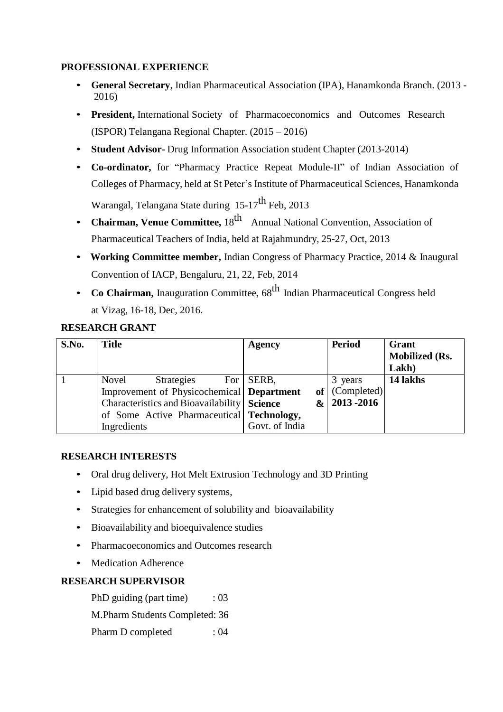### **PROFESSIONAL EXPERIENCE**

- **General Secretary**, Indian Pharmaceutical Association (IPA), Hanamkonda Branch. (2013 2016)
- **President,** International Society of Pharmacoeconomics and Outcomes Research (ISPOR) Telangana Regional Chapter. (2015 – 2016)
- **Student Advisor** Drug Information Association student Chapter (2013-2014)
- **Co-ordinator,** for "Pharmacy Practice Repeat Module-II" of Indian Association of Colleges of Pharmacy, held at St Peter's Institute of Pharmaceutical Sciences, Hanamkonda

Warangal, Telangana State during  $15-17^{\text{th}}$  Feb, 2013

- **Chairman, Venue Committee,** 18<sup>th</sup> Annual National Convention, Association of Pharmaceutical Teachers of India, held at Rajahmundry, 25-27, Oct, 2013
- **Working Committee member,** Indian Congress of Pharmacy Practice, 2014 & Inaugural Convention of IACP, Bengaluru, 21, 22, Feb, 2014
- Co Chairman, Inauguration Committee,  $68^{th}$  Indian Pharmaceutical Congress held at Vizag, 16-18, Dec, 2016.

#### **RESEARCH GRANT**

| S.No. | Title                                       |                                             |  | <b>Agency</b>  |                 | <b>Period</b>   | Grant<br><b>Mobilized (Rs.</b><br>Lakh) |
|-------|---------------------------------------------|---------------------------------------------|--|----------------|-----------------|-----------------|-----------------------------------------|
|       | Novel                                       | <b>Strategies</b>                           |  | For   SERB,    |                 | 3 years         | 14 lakhs                                |
|       |                                             | Improvement of Physicochemical   Department |  |                |                 | of   (Complete) |                                         |
|       | Characteristics and Bioavailability Science |                                             |  | $\alpha$       | $ 2013 - 2016 $ |                 |                                         |
|       |                                             | of Some Active Pharmaceutical Technology,   |  |                |                 |                 |                                         |
|       | Ingredients                                 |                                             |  | Govt. of India |                 |                 |                                         |

#### **RESEARCH INTERESTS**

- Oral drug delivery, Hot Melt Extrusion Technology and 3D Printing
- Lipid based drug delivery systems,
- Strategies for enhancement of solubility and bioavailability
- Bioavailability and bioequivalence studies
- Pharmacoeconomics and Outcomes research
- Medication Adherence

#### **RESEARCH SUPERVISOR**

PhD guiding (part time) : 03

M.Pharm Students Completed: 36

Pharm D completed : 04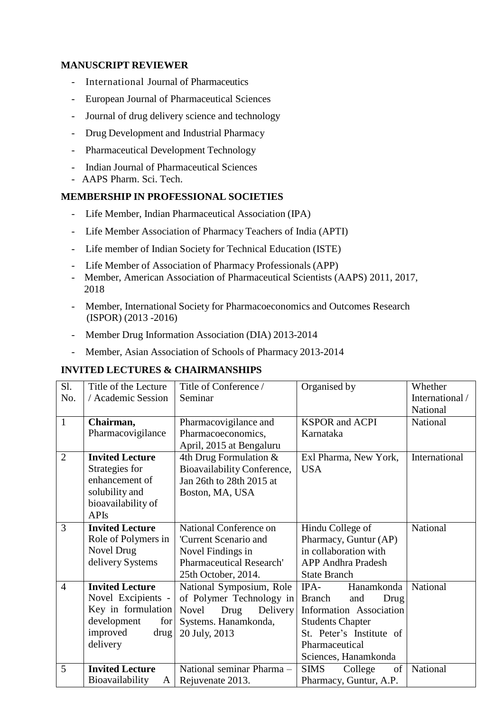### **MANUSCRIPT REVIEWER**

- International Journal of Pharmaceutics
- European Journal of Pharmaceutical Sciences
- Journal of drug delivery science and technology
- Drug Development and Industrial Pharmacy
- Pharmaceutical Development Technology
- Indian Journal of Pharmaceutical Sciences
- AAPS Pharm. Sci. Tech.

#### **MEMBERSHIP IN PROFESSIONAL SOCIETIES**

- Life Member, Indian Pharmaceutical Association (IPA)
- Life Member Association of Pharmacy Teachers of India (APTI)
- Life member of Indian Society for Technical Education (ISTE)
- Life Member of Association of Pharmacy Professionals (APP)
- Member, American Association of Pharmaceutical Scientists (AAPS) 2011, 2017, 2018
- Member, International Society for Pharmacoeconomics and Outcomes Research (ISPOR) (2013 -2016)
- Member Drug Information Association (DIA) 2013-2014
- Member, Asian Association of Schools of Pharmacy 2013-2014

### **INVITED LECTURES & CHAIRMANSHIPS**

| Sl.            | Title of the Lecture   | Title of Conference /       | Organised by                 | Whether         |
|----------------|------------------------|-----------------------------|------------------------------|-----------------|
| No.            | / Academic Session     | Seminar                     |                              | International / |
|                |                        |                             |                              | National        |
| $\mathbf{1}$   | Chairman,              | Pharmacovigilance and       | <b>KSPOR</b> and <b>ACPI</b> | National        |
|                | Pharmacovigilance      | Pharmacoeconomics,          | Karnataka                    |                 |
|                |                        | April, 2015 at Bengaluru    |                              |                 |
| $\overline{2}$ | <b>Invited Lecture</b> | 4th Drug Formulation $&$    | Exl Pharma, New York,        | International   |
|                | Strategies for         | Bioavailability Conference, | <b>USA</b>                   |                 |
|                | enhancement of         | Jan 26th to 28th 2015 at    |                              |                 |
|                | solubility and         | Boston, MA, USA             |                              |                 |
|                | bioavailability of     |                             |                              |                 |
|                | <b>APIs</b>            |                             |                              |                 |
| 3              | <b>Invited Lecture</b> | National Conference on      | Hindu College of             | National        |
|                | Role of Polymers in    | 'Current Scenario and       | Pharmacy, Guntur (AP)        |                 |
|                | <b>Novel Drug</b>      | Novel Findings in           | in collaboration with        |                 |
|                | delivery Systems       | Pharmaceutical Research'    | <b>APP Andhra Pradesh</b>    |                 |
|                |                        | 25th October, 2014.         | <b>State Branch</b>          |                 |
| $\overline{4}$ | <b>Invited Lecture</b> | National Symposium, Role    | $IPA-$<br>Hanamkonda         | National        |
|                | Novel Excipients -     | of Polymer Technology in    | <b>Branch</b><br>Drug<br>and |                 |
|                | Key in formulation     | Novel<br>Drug<br>Delivery   | Information Association      |                 |
|                | development<br>for     | Systems. Hanamkonda,        | <b>Students Chapter</b>      |                 |
|                | improved<br>drug       | 20 July, 2013               | St. Peter's Institute of     |                 |
|                | delivery               |                             | Pharmaceutical               |                 |
|                |                        |                             | Sciences, Hanamkonda         |                 |
| 5              | <b>Invited Lecture</b> | National seminar Pharma -   | <b>SIMS</b><br>College<br>of | National        |
|                | Bioavailability<br>A   | Rejuvenate 2013.            | Pharmacy, Guntur, A.P.       |                 |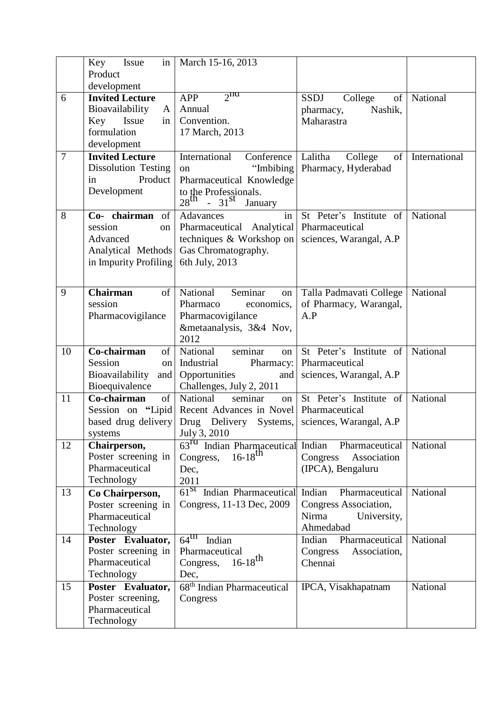|                | Key<br>Issue                      | in   March 15-16, 2013                                               |                                      |               |
|----------------|-----------------------------------|----------------------------------------------------------------------|--------------------------------------|---------------|
|                | Product                           |                                                                      |                                      |               |
|                | development                       |                                                                      |                                      |               |
| 6              | <b>Invited Lecture</b>            | $2\pi$<br><b>APP</b>                                                 | <b>SSDJ</b><br>College<br>$\sigma$ f | National      |
|                | Bioavailability<br>A              | Annual                                                               | Nashik,<br>pharmacy,                 |               |
|                | Key<br>Issue<br>$\frac{1}{2}$     | Convention.                                                          | Maharastra                           |               |
|                | formulation                       | 17 March, 2013                                                       |                                      |               |
|                | development                       |                                                                      |                                      |               |
| $\overline{7}$ | <b>Invited Lecture</b>            | International Conference   Lalitha                                   | College<br>of                        | International |
|                | <b>Dissolution Testing</b>        | "Imbibing<br>on                                                      | Pharmacy, Hyderabad                  |               |
|                | Product<br>in                     | Pharmaceutical Knowledge                                             |                                      |               |
|                | Development                       | to the Professionals.<br>$28^{\text{th}}$ - $31^{\text{st}}$ January |                                      |               |
|                |                                   |                                                                      |                                      |               |
| 8              | Co- chairman of                   | in<br>Adavances                                                      | St Peter's Institute of              | National      |
|                | session<br>on                     | Pharmaceutical Analytical   Pharmaceutical                           |                                      |               |
|                | Advanced                          | techniques & Workshop on                                             | sciences, Warangal, A.P              |               |
|                | Analytical Methods                | Gas Chromatography.                                                  |                                      |               |
|                | in Impurity Profiling             | 6th July, 2013                                                       |                                      |               |
|                |                                   |                                                                      |                                      |               |
| 9              | <b>Chairman</b><br>of             | National<br>Seminar<br>on                                            | Talla Padmavati College              | National      |
|                | session                           | Pharmaco<br>economics,                                               | of Pharmacy, Warangal,               |               |
|                | Pharmacovigilance                 | Pharmacovigilance                                                    | A.P                                  |               |
|                |                                   | &metaanalysis, 3&4 Nov,                                              |                                      |               |
|                |                                   | 2012                                                                 |                                      |               |
| 10             | Co-chairman<br>of                 | National<br>seminar<br>on                                            | St Peter's Institute of              | National      |
|                | Session<br>on                     | Industrial<br>Pharmacy:                                              | Pharmaceutical                       |               |
|                | Bioavailability and Opportunities | and                                                                  | sciences, Warangal, A.P.             |               |
|                |                                   |                                                                      |                                      |               |
|                | Bioequivalence                    | Challenges, July 2, 2011                                             |                                      |               |
| 11             | Co-chairman<br>of                 | National<br>seminar<br>on                                            | St Peter's Institute of              | National      |
|                |                                   | Session on "Lipid Recent Advances in Novel Pharmaceutical            |                                      |               |
|                |                                   | based drug delivery Drug Delivery Systems,                           | sciences, Warangal, A.P              |               |
|                | systems                           | $\vert$ July 3, 2010                                                 |                                      |               |
| 12             | Chairperson,                      | 63 <sup>rd</sup> Indian Pharmaceutical Indian Pharmaceutical         |                                      | National      |
|                | Poster screening in               | $16-18^{th}$<br>Congress,                                            | Congress<br>Association              |               |
|                | Pharmaceutical                    | Dec,                                                                 | (IPCA), Bengaluru                    |               |
|                | Technology                        | 2011                                                                 |                                      |               |
| 13             | Co Chairperson,                   | 61 <sup>St</sup> Indian Pharmaceutical                               | Indian Pharmaceutical                | National      |
|                | Poster screening in               | Congress, 11-13 Dec, 2009                                            | Congress Association,<br>Nirma       |               |
|                | Pharmaceutical                    |                                                                      | University,<br>Ahmedabad             |               |
| 14             | Technology<br>Poster Evaluator,   | $64^{\text{th}}$ Indian                                              | Pharmaceutical<br>Indian             | National      |
|                | Poster screening in               | Pharmaceutical                                                       | Association,<br>Congress             |               |
|                | Pharmaceutical                    | Congress,                                                            | Chennai                              |               |
|                | Technology                        | $16 - 18$ <sup>th</sup><br>Dec,                                      |                                      |               |
| 15             | Poster Evaluator,                 | $68th$ Indian Pharmaceutical                                         | IPCA, Visakhapatnam                  | National      |
|                | Poster screening,                 | Congress                                                             |                                      |               |
|                | Pharmaceutical<br>Technology      |                                                                      |                                      |               |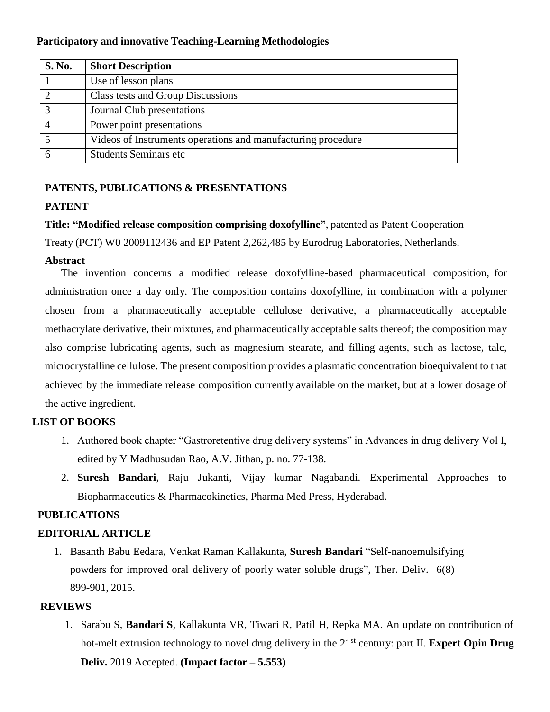### **Participatory and innovative Teaching-Learning Methodologies**

| <b>S. No.</b>  | <b>Short Description</b>                                     |
|----------------|--------------------------------------------------------------|
|                | Use of lesson plans                                          |
| $\overline{2}$ | Class tests and Group Discussions                            |
| $\overline{3}$ | Journal Club presentations                                   |
|                | Power point presentations                                    |
|                | Videos of Instruments operations and manufacturing procedure |
|                | <b>Students Seminars etc</b>                                 |

## **PATENTS, PUBLICATIONS & PRESENTATIONS**

### **PATENT**

**Title: "Modified release composition comprising doxofylline"**, patented as Patent Cooperation Treaty (PCT) W0 2009112436 and EP Patent 2,262,485 by Eurodrug Laboratories, Netherlands.

### **Abstract**

The invention concerns a modified release doxofylline-based pharmaceutical composition, for administration once a day only. The composition contains doxofylline, in combination with a polymer chosen from a pharmaceutically acceptable cellulose derivative, a pharmaceutically acceptable methacrylate derivative, their mixtures, and pharmaceutically acceptable salts thereof; the composition may also comprise lubricating agents, such as magnesium stearate, and filling agents, such as lactose, talc, microcrystalline cellulose. The present composition provides a plasmatic concentration bioequivalent to that achieved by the immediate release composition currently available on the market, but at a lower dosage of the active ingredient.

## **LIST OF BOOKS**

- 1. Authored book chapter "Gastroretentive drug delivery systems" in Advances in drug delivery Vol I, edited by Y Madhusudan Rao, A.V. Jithan, p. no. 77-138.
- 2. **Suresh Bandari**, Raju Jukanti, Vijay kumar Nagabandi. Experimental Approaches to Biopharmaceutics & Pharmacokinetics, Pharma Med Press, Hyderabad.

### **PUBLICATIONS**

## **EDITORIAL ARTICLE**

1. Basanth Babu Eedara, Venkat Raman Kallakunta, **Suresh Bandari** "Self-nanoemulsifying powders for improved oral delivery of poorly water soluble drugs", Ther. Deliv. 6(8) 899-901, 2015.

### **REVIEWS**

1. Sarabu S, **Bandari S**, Kallakunta VR, Tiwari R, Patil H, Repka MA. An update on contribution of hot-melt extrusion technology to novel drug delivery in the 21<sup>st</sup> century: part II. **Expert Opin Drug Deliv.** 2019 Accepted. **(Impact factor – 5.553)**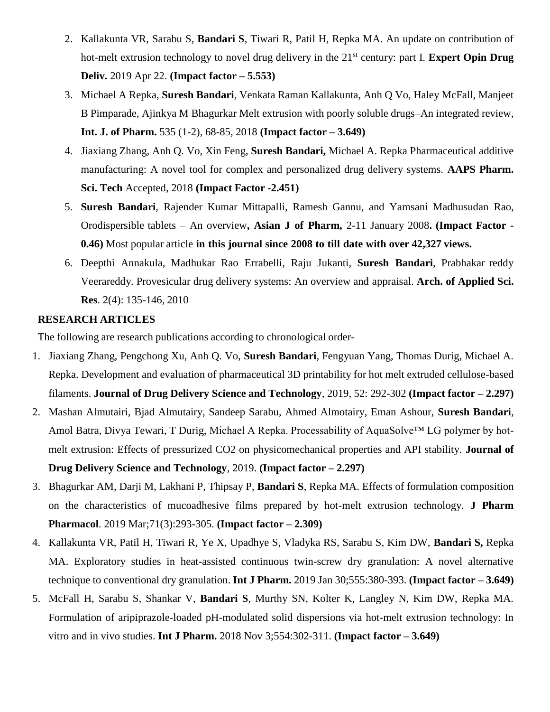- 2. Kallakunta VR, Sarabu S, **Bandari S**, Tiwari R, Patil H, Repka MA. An update on contribution of hot-melt extrusion technology to novel drug delivery in the 21<sup>st</sup> century: part I. **Expert Opin Drug Deliv.** 2019 Apr 22. **(Impact factor – 5.553)**
- 3. Michael A Repka, **Suresh Bandari**, Venkata Raman Kallakunta, Anh Q Vo, Haley McFall, Manjeet B Pimparade, Ajinkya M Bhagurkar Melt extrusion with poorly soluble drugs–An integrated review, **Int. J. of Pharm.** 535 (1-2), 68-85, 2018 **(Impact factor – 3.649)**
- 4. Jiaxiang Zhang, Anh Q. Vo, Xin Feng, **Suresh Bandari,** Michael A. Repka Pharmaceutical additive manufacturing: A novel tool for complex and personalized drug delivery systems. **AAPS Pharm. Sci. Tech** Accepted, 2018 **(Impact Factor -2.451)**
- 5. **Suresh Bandari**, Rajender Kumar Mittapalli, Ramesh Gannu, and Yamsani Madhusudan Rao, Orodispersible tablets – An overview**, Asian J of Pharm,** 2-11 January 2008**. (Impact Factor - 0.46)** Most popular article **in this journal since 2008 to till date with over 42,327 views.**
- 6. Deepthi Annakula, Madhukar Rao Errabelli, Raju Jukanti, **Suresh Bandari**, Prabhakar reddy Veerareddy. Provesicular drug delivery systems: An overview and appraisal. **Arch. of Applied Sci. Res**. 2(4): 135-146, 2010

#### **RESEARCH ARTICLES**

The following are research publications according to chronological order-

- 1. Jiaxiang Zhang, Pengchong Xu, Anh Q. Vo, **Suresh Bandari**, Fengyuan Yang, Thomas Durig, Michael A. Repka. Development and evaluation of pharmaceutical 3D printability for hot melt extruded cellulose-based filaments. **Journal of Drug Delivery Science and Technology**, 2019, 52: 292-302 **(Impact factor – 2.297)**
- 2. Mashan Almutairi, Bjad Almutairy, Sandeep Sarabu, Ahmed Almotairy, Eman Ashour, **Suresh Bandari**, Amol Batra, Divya Tewari, T Durig, Michael A Repka. Processability of AquaSolve™ LG polymer by hotmelt extrusion: Effects of pressurized CO2 on physicomechanical properties and API stability. **Journal of Drug Delivery Science and Technology**, 2019. **(Impact factor – 2.297)**
- 3. Bhagurkar AM, Darji M, Lakhani P, Thipsay P, **Bandari S**, Repka MA. Effects of formulation composition on the characteristics of mucoadhesive films prepared by hot-melt extrusion technology. **J Pharm Pharmacol**. 2019 Mar;71(3):293-305. **(Impact factor – 2.309)**
- 4. Kallakunta VR, Patil H, Tiwari R, Ye X, Upadhye S, Vladyka RS, Sarabu S, Kim DW, **Bandari S,** Repka MA. Exploratory studies in heat-assisted continuous twin-screw dry granulation: A novel alternative technique to conventional dry granulation. **Int J Pharm.** 2019 Jan 30;555:380-393. **(Impact factor – 3.649)**
- 5. McFall H, Sarabu S, Shankar V, **Bandari S**, Murthy SN, Kolter K, Langley N, Kim DW, Repka MA. Formulation of aripiprazole-loaded pH-modulated solid dispersions via hot-melt extrusion technology: In vitro and in vivo studies. **Int J Pharm.** 2018 Nov 3;554:302-311. **(Impact factor – 3.649)**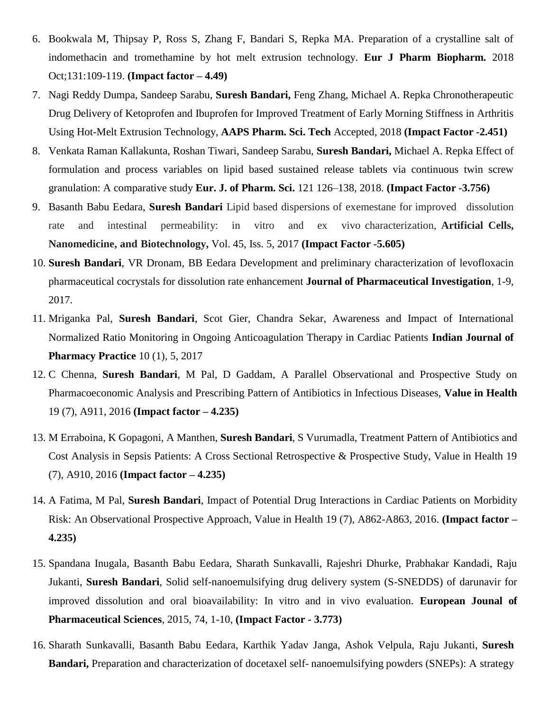- 6. Bookwala M, Thipsay P, Ross S, Zhang F, Bandari S, Repka MA. Preparation of a crystalline salt of indomethacin and tromethamine by hot melt extrusion technology. **Eur J Pharm Biopharm.** 2018 Oct;131:109-119. **(Impact factor – 4.49)**
- 7. Nagi Reddy Dumpa, Sandeep Sarabu, **Suresh Bandari,** Feng Zhang, Michael A. Repka Chronotherapeutic Drug Delivery of Ketoprofen and Ibuprofen for Improved Treatment of Early Morning Stiffness in Arthritis Using Hot-Melt Extrusion Technology, **AAPS Pharm. Sci. Tech** Accepted, 2018 **(Impact Factor -2.451)**
- 8. Venkata Raman Kallakunta, Roshan Tiwari, Sandeep Sarabu, **Suresh Bandari,** Michael A. Repka Effect of formulation and process variables on lipid based sustained release tablets via continuous twin screw granulation: A comparative study **Eur. J. of Pharm. Sci.** 121 126–138, 2018. **(Impact Factor -3.756)**
- 9. Basanth Babu Eedara, **Suresh Bandari** Lipid based dispersions of exemestane for improved dissolution rate and intestinal permeability: in vitro and ex vivo characterization, **Artificial Cells, Nanomedicine, and Biotechnology,** Vol. 45, Iss. 5, 2017 **(Impact Factor -5.605)**
- 10. **Suresh Bandari**, VR Dronam, BB Eedara Development and preliminary characterization of levofloxacin pharmaceutical cocrystals for dissolution rate enhancement **Journal of Pharmaceutical Investigation**, 1-9, 2017.
- 11. Mriganka Pal, **Suresh Bandari**, Scot Gier, Chandra Sekar, Awareness and Impact of International Normalized Ratio Monitoring in Ongoing Anticoagulation Therapy in Cardiac Patients **Indian Journal of Pharmacy Practice** 10 (1), 5, 2017
- 12. C Chenna, **Suresh Bandari**, M Pal, D Gaddam, A Parallel Observational and Prospective Study on Pharmacoeconomic Analysis and Prescribing Pattern of Antibiotics in Infectious Diseases, **Value in Health** 19 (7), A911, 2016 **(Impact factor – 4.235)**
- 13. M Erraboina, K Gopagoni, A Manthen, **Suresh Bandari**, S Vurumadla, Treatment Pattern of Antibiotics and Cost Analysis in Sepsis Patients: A Cross Sectional Retrospective & Prospective Study, Value in Health 19 (7), A910, 2016 **(Impact factor – 4.235)**
- 14. A Fatima, M Pal, **Suresh Bandari**, Impact of Potential Drug Interactions in Cardiac Patients on Morbidity Risk: An Observational Prospective Approach, Value in Health 19 (7), A862-A863, 2016. **(Impact factor – 4.235)**
- 15. Spandana Inugala, Basanth Babu Eedara, Sharath Sunkavalli, Rajeshri Dhurke, Prabhakar Kandadi, Raju Jukanti, **Suresh Bandari**, Solid self-nanoemulsifying drug delivery system (S-SNEDDS) of darunavir for improved dissolution and oral bioavailability: In vitro and in vivo evaluation. **European Jounal of Pharmaceutical Sciences**, 2015, 74, 1-10, **(Impact Factor - 3.773)**
- 16. Sharath Sunkavalli, Basanth Babu Eedara, Karthik Yadav Janga, Ashok Velpula, Raju Jukanti, **Suresh Bandari,** Preparation and characterization of docetaxel self- nanoemulsifying powders (SNEPs): A strategy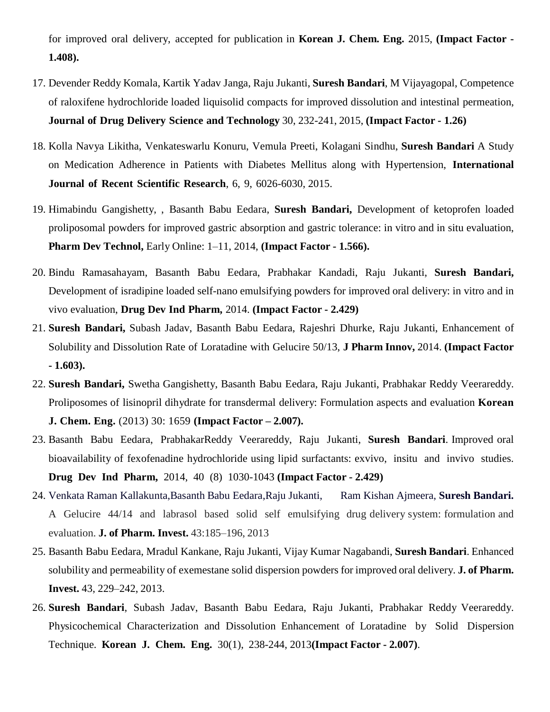for improved oral delivery, accepted for publication in **Korean J. Chem. Eng.** 2015, **(Impact Factor - 1.408).**

- 17. Devender Reddy Komala, Kartik Yadav Janga, Raju Jukanti, **Suresh Bandari**, M Vijayagopal, Competence of raloxifene hydrochloride loaded liquisolid compacts for improved dissolution and intestinal permeation, **Journal of Drug Delivery Science and Technology** 30, 232-241, 2015, **(Impact Factor - 1.26)**
- 18. Kolla Navya Likitha, Venkateswarlu Konuru, Vemula Preeti, Kolagani Sindhu, **Suresh Bandari** A Study on Medication Adherence in Patients with Diabetes Mellitus along with Hypertension, **International Journal of Recent Scientific Research**, 6, 9, 6026-6030, 2015.
- 19. Himabindu Gangishetty, , Basanth Babu Eedara, **Suresh Bandari,** Development of ketoprofen loaded proliposomal powders for improved gastric absorption and gastric tolerance: in vitro and in situ evaluation, **Pharm Dev Technol,** Early Online: 1–11, 2014, **(Impact Factor - 1.566).**
- 20. Bindu Ramasahayam, Basanth Babu Eedara, Prabhakar Kandadi, Raju Jukanti, **Suresh Bandari,** Development of isradipine loaded self-nano emulsifying powders for improved oral delivery: in vitro and in vivo evaluation, **Drug Dev Ind Pharm,** 2014. **(Impact Factor - 2.429)**
- 21. **Suresh Bandari,** Subash Jadav, Basanth Babu Eedara, Rajeshri Dhurke, Raju Jukanti, Enhancement of Solubility and Dissolution Rate of Loratadine with Gelucire 50/13, **J Pharm Innov,** 2014. **(Impact Factor - 1.603).**
- 22. **Suresh Bandari,** Swetha Gangishetty, Basanth Babu Eedara, Raju Jukanti, Prabhakar Reddy Veerareddy. Proliposomes of lisinopril dihydrate for transdermal delivery: Formulation aspects and evaluation **Korean**

**J. Chem. Eng.** (2013) 30: 1659 **(Impact Factor – 2.007).**

- 23. Basanth Babu Eedara, PrabhakarReddy Veerareddy, Raju Jukanti, **Suresh Bandari**. Improved oral bioavailability of fexofenadine hydrochloride using lipid surfactants: exvivo, insitu and invivo studies. **Drug Dev Ind Pharm,** 2014, 40 (8) 1030-1043 **(Impact Factor - 2.429)**
- 24. Venkata Raman Kallakunta,Basanth Babu Eedara,Raju Jukanti, Ram Kishan Ajmeera, **Suresh Bandari.**  A Gelucire 44/14 and labrasol based solid self emulsifying drug delivery system: formulation and evaluation. **J. of Pharm. Invest.** 43:185–196, 2013
- 25. Basanth Babu Eedara, Mradul Kankane, Raju Jukanti, Vijay Kumar Nagabandi, **Suresh Bandari**. Enhanced solubility and permeability of exemestane solid dispersion powders for improved oral delivery. **J. of Pharm. Invest.** 43, 229–242, 2013.
- 26. **Suresh Bandari**, Subash Jadav, Basanth Babu Eedara, Raju Jukanti, Prabhakar Reddy Veerareddy. Physicochemical Characterization and Dissolution Enhancement of Loratadine by Solid Dispersion Technique. **Korean J. Chem. Eng.** 30(1), 238-244, 2013**(Impact Factor - 2.007)**.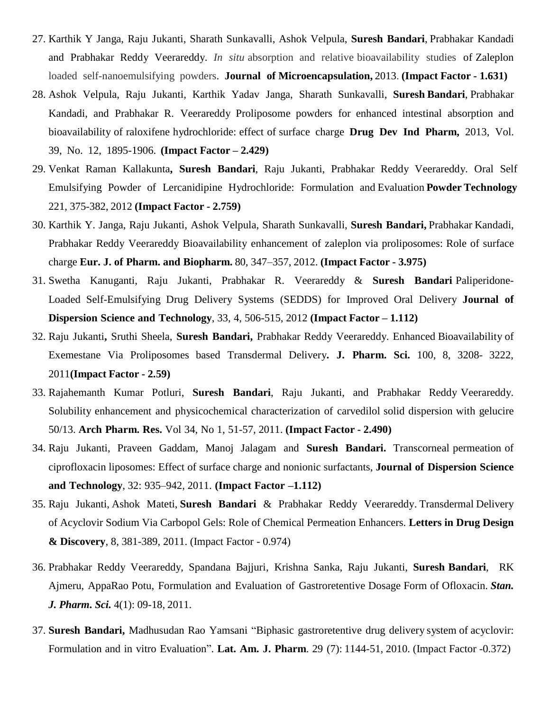- 27. Karthik Y Janga, Raju Jukanti, Sharath Sunkavalli, Ashok Velpula, **Suresh Bandari**, Prabhakar Kandadi and Prabhakar Reddy Veerareddy. *In situ* absorption and relative bioavailability studies of Zaleplon loaded self-nanoemulsifying powders. **Journal of Microencapsulation,** 2013. **(Impact Factor - 1.631)**
- 28. Ashok Velpula, Raju Jukanti, Karthik Yadav Janga, Sharath Sunkavalli, **Suresh Bandari**, Prabhakar Kandadi, and Prabhakar R. Veerareddy Proliposome powders for enhanced intestinal absorption and bioavailability of raloxifene hydrochloride: effect of surface charge **Drug Dev Ind Pharm,** 2013, Vol. 39, No. 12, 1895-1906. **(Impact Factor – 2.429)**
- 29. Venkat Raman Kallakunta**, Suresh Bandari**, Raju Jukanti, Prabhakar Reddy Veerareddy. Oral Self Emulsifying Powder of Lercanidipine Hydrochloride: Formulation and Evaluation **Powder Technology** 221, 375-382, 2012 **(Impact Factor - 2.759)**
- 30. Karthik Y. Janga, Raju Jukanti, Ashok Velpula, Sharath Sunkavalli, **Suresh Bandari,** Prabhakar Kandadi, Prabhakar Reddy Veerareddy Bioavailability enhancement of zaleplon via proliposomes: Role of surface charge **Eur. J. of Pharm. and Biopharm.** 80, 347–357, 2012. **(Impact Factor - 3.975)**
- 31. Swetha Kanuganti, Raju Jukanti, Prabhakar R. Veerareddy & **Suresh Bandari** Paliperidone-Loaded Self-Emulsifying Drug Delivery Systems (SEDDS) for Improved Oral Delivery **Journal of Dispersion Science and Technology**, 33, 4, 506-515, 2012 **(Impact Factor – 1.112)**
- 32. Raju Jukanti**,** Sruthi Sheela, **Suresh Bandari,** Prabhakar Reddy Veerareddy. Enhanced Bioavailability of Exemestane Via Proliposomes based Transdermal Delivery**. J. Pharm. Sci.** 100, 8, 3208- 3222, 2011**(Impact Factor - 2.59)**
- 33. Rajahemanth Kumar Potluri, **Suresh Bandari**, Raju Jukanti, and Prabhakar Reddy Veerareddy. Solubility enhancement and physicochemical characterization of carvedilol solid dispersion with gelucire 50/13. **Arch Pharm. Res.** Vol 34, No 1, 51-57, 2011. **(Impact Factor - 2.490)**
- 34. Raju Jukanti, Praveen Gaddam, Manoj Jalagam and **Suresh Bandari.** Transcorneal permeation of ciprofloxacin liposomes: Effect of surface charge and nonionic surfactants, **Journal of Dispersion Science and Technology**, 32: 935–942, 2011. **(Impact Factor –1.112)**
- 35. Raju Jukanti, Ashok Mateti, **Suresh Bandari** & Prabhakar Reddy Veerareddy. Transdermal Delivery of Acyclovir Sodium Via Carbopol Gels: Role of Chemical Permeation Enhancers. **Letters in Drug Design & Discovery**, 8, 381-389, 2011. (Impact Factor - 0.974)
- 36. Prabhakar Reddy Veerareddy, Spandana Bajjuri, Krishna Sanka, Raju Jukanti, **Suresh Bandari**, RK Ajmeru, AppaRao Potu, Formulation and Evaluation of Gastroretentive Dosage Form of Ofloxacin. *Stan. J. Pharm. Sci.* 4(1): 09-18, 2011.
- 37. **Suresh Bandari,** Madhusudan Rao Yamsani "Biphasic gastroretentive drug delivery system of acyclovir: Formulation and in vitro Evaluation". **Lat. Am. J. Pharm**. 29 (7): 1144-51, 2010. (Impact Factor -0.372)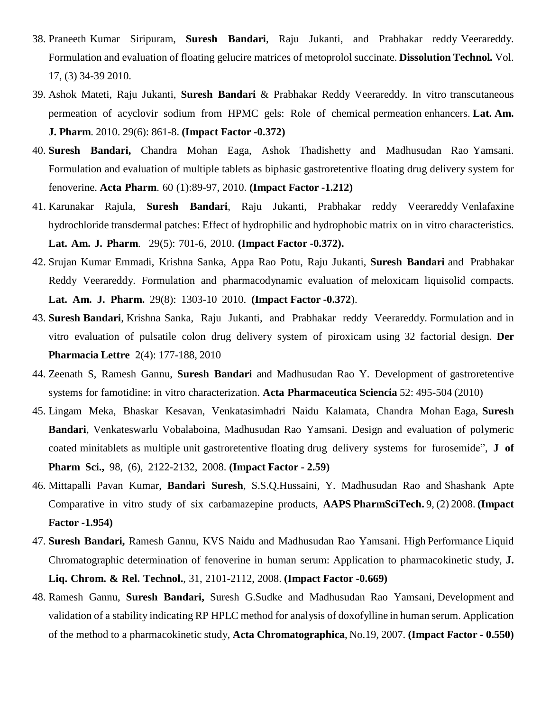- 38. Praneeth Kumar Siripuram, **Suresh Bandari**, Raju Jukanti, and Prabhakar reddy Veerareddy. Formulation and evaluation of floating gelucire matrices of metoprolol succinate. **Dissolution Technol***.* Vol. 17, (3) 34-39 2010.
- 39. Ashok Mateti, Raju Jukanti, **Suresh Bandari** & Prabhakar Reddy Veerareddy. In vitro transcutaneous permeation of acyclovir sodium from HPMC gels: Role of chemical permeation enhancers. **Lat. Am. J. Pharm**. 2010. 29(6): 861-8. **(Impact Factor -0.372)**
- 40. **Suresh Bandari,** Chandra Mohan Eaga, Ashok Thadishetty and Madhusudan Rao Yamsani. Formulation and evaluation of multiple tablets as biphasic gastroretentive floating drug delivery system for fenoverine. **Acta Pharm**. 60 (1):89-97, 2010. **(Impact Factor -1.212)**
- 41. Karunakar Rajula, **Suresh Bandari**, Raju Jukanti, Prabhakar reddy Veerareddy Venlafaxine hydrochloride transdermal patches: Effect of hydrophilic and hydrophobic matrix on in vitro characteristics. **Lat. Am. J. Pharm**. 29(5): 701-6, 2010. **(Impact Factor -0.372).**
- 42. Srujan Kumar Emmadi, Krishna Sanka, Appa Rao Potu, Raju Jukanti, **Suresh Bandari** and Prabhakar Reddy Veerareddy. Formulation and pharmacodynamic evaluation of meloxicam liquisolid compacts. **Lat. Am. J. Pharm.** 29(8): 1303-10 2010. **(Impact Factor -0.372**).
- 43. **Suresh Bandari**, Krishna Sanka, Raju Jukanti, and Prabhakar reddy Veerareddy. Formulation and in vitro evaluation of pulsatile colon drug delivery system of piroxicam using 32 factorial design. **Der Pharmacia Lettre** 2(4): 177-188, 2010
- 44. Zeenath S, Ramesh Gannu, **Suresh Bandari** and Madhusudan Rao Y. Development of gastroretentive systems for famotidine: in vitro characterization. **Acta Pharmaceutica Sciencia** 52: 495-504 (2010)
- 45. Lingam Meka, Bhaskar Kesavan, Venkatasimhadri Naidu Kalamata, Chandra Mohan Eaga, **Suresh Bandari**, Venkateswarlu Vobalaboina, Madhusudan Rao Yamsani. Design and evaluation of polymeric coated minitablets as multiple unit gastroretentive floating drug delivery systems for furosemide", **J of Pharm Sci.,** 98, (6), 2122-2132, 2008. **(Impact Factor - 2.59)**
- 46. Mittapalli Pavan Kumar, **Bandari Suresh**, S.S.Q.Hussaini, Y. Madhusudan Rao and Shashank Apte Comparative in vitro study of six carbamazepine products, **AAPS PharmSciTech.** 9, (2) 2008. **(Impact Factor -1.954)**
- 47. **Suresh Bandari,** Ramesh Gannu, KVS Naidu and Madhusudan Rao Yamsani. High Performance Liquid Chromatographic determination of fenoverine in human serum: Application to pharmacokinetic study, **J. Liq. Chrom. & Rel. Technol.**, 31, 2101-2112, 2008. **(Impact Factor -0.669)**
- 48. Ramesh Gannu, **Suresh Bandari,** Suresh G.Sudke and Madhusudan Rao Yamsani, Development and validation of a stability indicating RP HPLC method for analysis of doxofylline in human serum. Application of the method to a pharmacokinetic study, **Acta Chromatographica**, No.19, 2007. **(Impact Factor - 0.550)**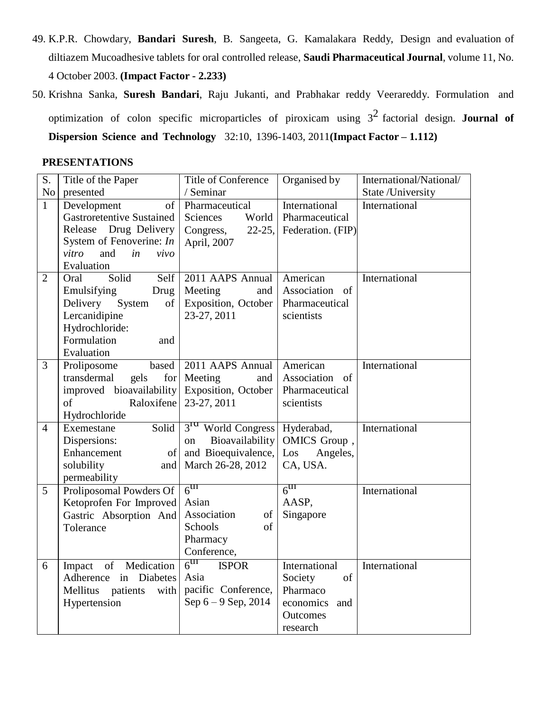- 49. K.P.R. Chowdary, **Bandari Suresh**, B. Sangeeta, G. Kamalakara Reddy, Design and evaluation of diltiazem Mucoadhesive tablets for oral controlled release, **Saudi Pharmaceutical Journal**, volume 11, No.
	- 4 October 2003. **(Impact Factor - 2.233)**
- 50. Krishna Sanka, **Suresh Bandari**, Raju Jukanti, and Prabhakar reddy Veerareddy. Formulation and optimization of colon specific microparticles of piroxicam using 3 2 factorial design. **Journal of Dispersion Science and Technology** 32:10, 1396-1403, 2011**(Impact Factor – 1.112)**

#### **PRESENTATIONS**

| S.             | Title of the Paper                      | Title of Conference              | Organised by                 | International/National/ |
|----------------|-----------------------------------------|----------------------------------|------------------------------|-------------------------|
| No             | presented                               | / Seminar                        |                              | State /University       |
| $\mathbf{1}$   | Development<br>of                       | Pharmaceutical                   | International                | International           |
|                | <b>Gastroretentive Sustained</b>        | Sciences<br>World                | Pharmaceutical               |                         |
|                | Release Drug Delivery                   | $22-25,$<br>Congress,            | Federation. (FIP)            |                         |
|                | System of Fenoverine: $In$              | April, 2007                      |                              |                         |
|                | vitro<br>and<br>in<br>vivo              |                                  |                              |                         |
|                | Evaluation                              |                                  |                              |                         |
| $\overline{2}$ | Solid<br>Self<br>Oral                   | 2011 AAPS Annual                 | American                     | International           |
|                | Emulsifying<br>Drug                     | Meeting<br>and                   | Association<br><sub>of</sub> |                         |
|                | Delivery<br>System<br>οf                | Exposition, October              | Pharmaceutical               |                         |
|                | Lercanidipine                           | 23-27, 2011                      | scientists                   |                         |
|                | Hydrochloride:                          |                                  |                              |                         |
|                | Formulation<br>and                      |                                  |                              |                         |
|                | Evaluation                              |                                  |                              |                         |
| 3              | based<br>Proliposome                    | 2011 AAPS Annual                 | American                     | International           |
|                | transdermal<br>for <sub>l</sub><br>gels | Meeting<br>and                   | Association of               |                         |
|                | improved bioavailability                | <b>Exposition</b> , October      | Pharmaceutical               |                         |
|                | Raloxifene<br>of                        | 23-27, 2011                      | scientists                   |                         |
|                | Hydrochloride                           |                                  |                              |                         |
| $\overline{4}$ | Solid<br>Exemestane                     | 3 <sup>rd</sup> World Congress   | Hyderabad,                   | International           |
|                | Dispersions:                            | Bioavailability<br>on            | OMICS Group,                 |                         |
|                | Enhancement<br>of                       | and Bioequivalence,              | Angeles,<br>Los              |                         |
|                | solubility<br>and                       | March 26-28, 2012                | CA, USA.                     |                         |
|                | permeability                            |                                  |                              |                         |
| 5              | Proliposomal Powders Of                 | $6^{\text{III}}$                 | $6^{\text{III}}$             | International           |
|                | Ketoprofen For Improved                 | Asian                            | AASP,                        |                         |
|                | Gastric Absorption And                  | Association<br>of                | Singapore                    |                         |
|                | Tolerance                               | Schools<br>of                    |                              |                         |
|                |                                         | Pharmacy                         |                              |                         |
|                |                                         | Conference,                      |                              |                         |
| 6              | Impact of<br>Medication                 | $6^{\text{III}}$<br><b>ISPOR</b> | International                | International           |
|                | <b>Diabetes</b><br>Adherence in         | Asia                             | Society<br>of                |                         |
|                | Mellitus<br>patients<br>with            | pacific Conference,              | Pharmaco                     |                         |
|                | Hypertension                            | Sep 6 - 9 Sep, 2014              | economics<br>and             |                         |
|                |                                         |                                  | <b>Outcomes</b>              |                         |
|                |                                         |                                  | research                     |                         |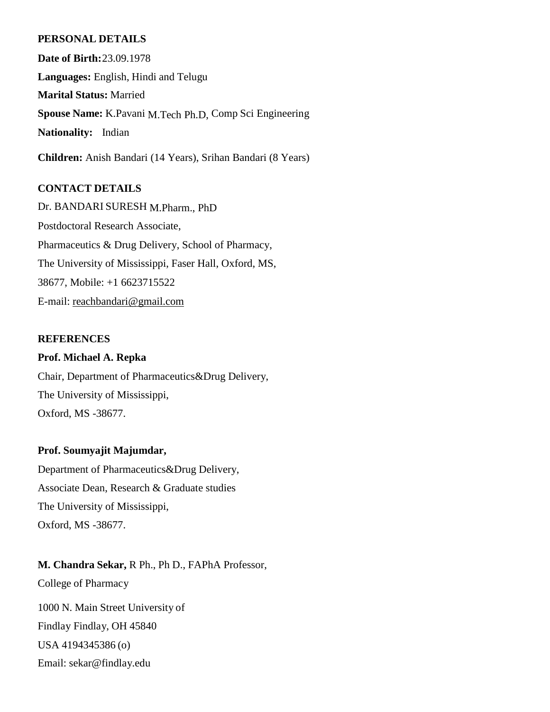#### **PERSONAL DETAILS**

**Date of Birth:**23.09.1978 **Languages:** English, Hindi and Telugu **Marital Status:** Married **Spouse Name:** K.Pavani M.Tech Ph.D, Comp Sci Engineering **Nationality:** Indian

**Children:** Anish Bandari (14 Years), Srihan Bandari (8 Years)

### **CONTACT DETAILS**

Dr. BANDARI SURESH M.Pharm., PhD Postdoctoral Research Associate, Pharmaceutics & Drug Delivery, School of Pharmacy, The University of Mississippi, Faser Hall, Oxford, MS, 38677, Mobile: +1 6623715522 E-mail: [reachbandari@gmail.com](mailto:reachbandari@gmail.com)

#### **REFERENCES**

**Prof. Michael A. Repka** Chair, Department of Pharmaceutics&Drug Delivery, The University of Mississippi, Oxford, MS -38677.

#### **Prof. Soumyajit Majumdar,**

Department of Pharmaceutics&Drug Delivery, Associate Dean, Research & Graduate studies The University of Mississippi, Oxford, MS -38677.

**M. Chandra Sekar,** R Ph., Ph D., FAPhA Professor,

College of Pharmacy

1000 N. Main Street University of Findlay Findlay, OH 45840 USA 4194345386 (o) Email: [sekar@findlay.edu](mailto:sekar@findlay.edu)